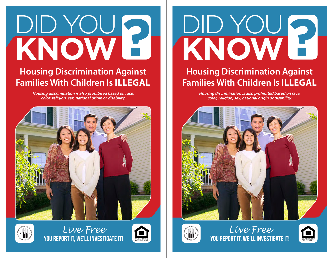# DID YOU **KNOW**

## **Housing Discrimination Against Families With Children Is ILLEGAL**

**Housing discrimination is also prohibited based on race, color, religion, sex, national origin or disability.**





*Live Free* YOU REPORT IT, WE'LL INVESTIGATE IT!



# DID YOU **KNOW**

### **Housing Discrimination Against Families With Children Is ILLEGAL**

**Housing discrimination is also prohibited based on race, color, religion, sex, national origin or disability.**





*Live Free* YOU REPORT IT, WE'LL INVESTIGATE IT!